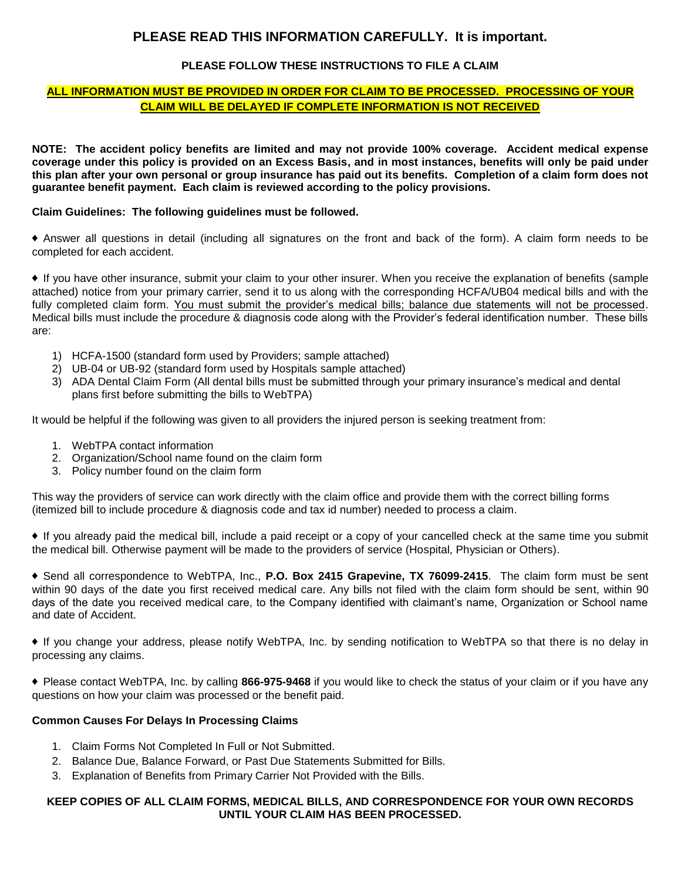# **PLEASE READ THIS INFORMATION CAREFULLY. It is important.**

# **PLEASE FOLLOW THESE INSTRUCTIONS TO FILE A CLAIM**

# **ALL INFORMATION MUST BE PROVIDED IN ORDER FOR CLAIM TO BE PROCESSED. PROCESSING OF YOUR CLAIM WILL BE DELAYED IF COMPLETE INFORMATION IS NOT RECEIVED**

**NOTE: The accident policy benefits are limited and may not provide 100% coverage. Accident medical expense coverage under this policy is provided on an Excess Basis, and in most instances, benefits will only be paid under this plan after your own personal or group insurance has paid out its benefits. Completion of a claim form does not guarantee benefit payment. Each claim is reviewed according to the policy provisions.** 

## **Claim Guidelines: The following guidelines must be followed.**

♦ Answer all questions in detail (including all signatures on the front and back of the form). A claim form needs to be completed for each accident.

♦ If you have other insurance, submit your claim to your other insurer. When you receive the explanation of benefits (sample attached) notice from your primary carrier, send it to us along with the corresponding HCFA/UB04 medical bills and with the fully completed claim form. You must submit the provider's medical bills; balance due statements will not be processed. Medical bills must include the procedure & diagnosis code along with the Provider's federal identification number. These bills are:

- 1) HCFA-1500 (standard form used by Providers; sample attached)
- 2) UB-04 or UB-92 (standard form used by Hospitals sample attached)
- 3) ADA Dental Claim Form (All dental bills must be submitted through your primary insurance's medical and dental plans first before submitting the bills to WebTPA)

It would be helpful if the following was given to all providers the injured person is seeking treatment from:

- 1. WebTPA contact information
- 2. Organization/School name found on the claim form
- 3. Policy number found on the claim form

This way the providers of service can work directly with the claim office and provide them with the correct billing forms (itemized bill to include procedure & diagnosis code and tax id number) needed to process a claim.

♦ If you already paid the medical bill, include a paid receipt or a copy of your cancelled check at the same time you submit the medical bill. Otherwise payment will be made to the providers of service (Hospital, Physician or Others).

♦ Send all correspondence to WebTPA, Inc., **P.O. Box 2415 Grapevine, TX 76099-2415**. The claim form must be sent within 90 days of the date you first received medical care. Any bills not filed with the claim form should be sent, within 90 days of the date you received medical care, to the Company identified with claimant's name, Organization or School name and date of Accident.

♦ If you change your address, please notify WebTPA, Inc. by sending notification to WebTPA so that there is no delay in processing any claims.

♦ Please contact WebTPA, Inc. by calling **866-975-9468** if you would like to check the status of your claim or if you have any questions on how your claim was processed or the benefit paid.

### **Common Causes For Delays In Processing Claims**

- 1. Claim Forms Not Completed In Full or Not Submitted.
- 2. Balance Due, Balance Forward, or Past Due Statements Submitted for Bills.
- 3. Explanation of Benefits from Primary Carrier Not Provided with the Bills.

# **KEEP COPIES OF ALL CLAIM FORMS, MEDICAL BILLS, AND CORRESPONDENCE FOR YOUR OWN RECORDS UNTIL YOUR CLAIM HAS BEEN PROCESSED.**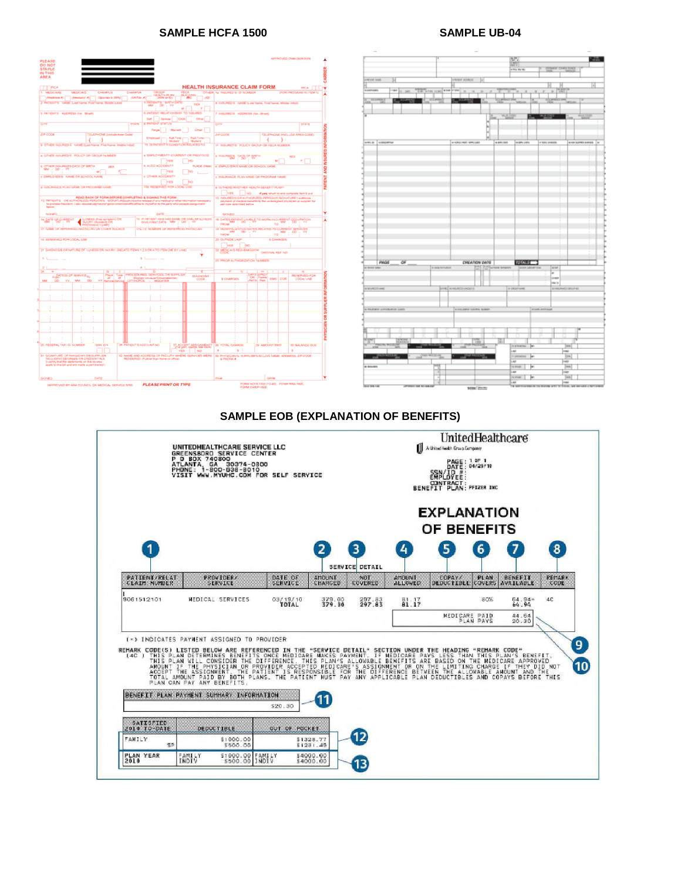# **SAMPLE HCFA 1500 SAMPLE UB-04**

| PLEASE<br><b>DO NOT</b><br><b>STAPLE</b>                                                                                                                                                                                                                                                |                                                                                                                                                               |                                                                                                                |                                                |  |  |  |
|-----------------------------------------------------------------------------------------------------------------------------------------------------------------------------------------------------------------------------------------------------------------------------------------|---------------------------------------------------------------------------------------------------------------------------------------------------------------|----------------------------------------------------------------------------------------------------------------|------------------------------------------------|--|--|--|
| IN THIS<br><b>AREA</b>                                                                                                                                                                                                                                                                  |                                                                                                                                                               |                                                                                                                |                                                |  |  |  |
| <b>TT PGA</b>                                                                                                                                                                                                                                                                           |                                                                                                                                                               | <b>HEALTH INSURANCE CLAIM FORM</b>                                                                             | <b>SICA</b>                                    |  |  |  |
| <b>1 MEDICARE</b><br>CHARTUS<br><b>CHAMPLE</b><br><b>MEDICAIO</b>                                                                                                                                                                                                                       | <b>FEST</b>                                                                                                                                                   | COVER N. NOUNED'S D NOMEN                                                                                      | <b>POR PROGRAM IN ITEM TO</b>                  |  |  |  |
| <b>GREW AT</b><br>(Mecknow #) (Meckanid #)<br><b>Sponsor's 50%</b>                                                                                                                                                                                                                      | $-\frac{\log_{10} \sum_{i=1}^{n} \log_{10} \log_{10}}{\log_{10} \log_{10} \log_{10}}$<br>a zuen<br>1408                                                       |                                                                                                                |                                                |  |  |  |
| 2 PATENTS NAME CAR News, First News, Mode Index                                                                                                                                                                                                                                         | <b>X FATIENTS</b> GRIN CATE<br>ta x<br><b>MM</b><br>$-00.7$<br><b>STE</b><br>мſ<br>- 6                                                                        | 4 Individuals, norted questioners, Freshame, obode retails                                                     |                                                |  |  |  |
| S. PATIENTS ADDRESS ON JRING                                                                                                                                                                                                                                                            | 4. INSIDE RELATIONSHIP TO NISURED<br><b>Theoretic</b><br><b>Sef</b><br>CAN I<br>Citizen                                                                       | 7 035,980% ADDRESS (No. Shoet)                                                                                 |                                                |  |  |  |
| <b>CITY</b><br><b>STATE</b>                                                                                                                                                                                                                                                             | a period granus<br>Marinet                                                                                                                                    | <b>Cutre</b>                                                                                                   | stare                                          |  |  |  |
| <b>PR-DOCK</b><br>TELEPHONE disclude Assa Codel                                                                                                                                                                                                                                         | degat)<br>Oner 1                                                                                                                                              | <b>ZIP CODE</b>                                                                                                | TELEPHONE (INOLUDE AREA GODE)                  |  |  |  |
|                                                                                                                                                                                                                                                                                         | <b>Publicity</b><br>Part-Terrey<br><b>Drepleyed r</b><br><b>Hillsday</b><br><b>Hillsday</b>                                                                   | x                                                                                                              | Ŷ.                                             |  |  |  |
| YO THI PHONE OF SIGNAL CONDITION OF RELIABILITY OF<br>3 OTHER INSURED'S NAME Sand Name, First Name, Matthe Indian<br><b>H. INSURED'S IROLOV GROUP OR FEDULATION</b>                                                                                                                     |                                                                                                                                                               |                                                                                                                |                                                |  |  |  |
| a CIVER notuRED 5 POLICY OR GROUP NUMBER                                                                                                                                                                                                                                                | # EMACHMENT? CURRENT OR PREVIOUS<br><b>YES</b><br><b>NO</b>                                                                                                   | a manage only of Barn<br>u.                                                                                    | PATIENT AND INSURED INFORMATION<br>54.3<br>× I |  |  |  |
| 6 OTHER INSURED'S OATE OF BRITH<br>58.8                                                                                                                                                                                                                                                 | s. AUTO ACCIDENT?<br><b>PLACE (State)</b>                                                                                                                     | IS EMPLOYER'S NAME OR SCHOOL SAME                                                                              |                                                |  |  |  |
| ma i<br>$+00$<br><b>Vir</b><br><b>SIP</b>                                                                                                                                                                                                                                               | <b>TELES</b><br>hen                                                                                                                                           |                                                                                                                |                                                |  |  |  |
| A ENRICOVERED ADMIE CHUIZO-COL ALMAE                                                                                                                                                                                                                                                    | COVER ACCIDENTS<br><b>NGS</b><br><b>NO</b>                                                                                                                    | 4 INSURANCE PLAN NAME OR PROGRAM VALIET                                                                        |                                                |  |  |  |
| a mduResca, Puez tollati, citi PROGRAM ruksiti                                                                                                                                                                                                                                          | TOP REPAIR OF FOR LOCAL LINE                                                                                                                                  | 4 IS THEN ANOTHER HEALTH SENERT PLANT                                                                          |                                                |  |  |  |
|                                                                                                                                                                                                                                                                                         |                                                                                                                                                               | <b>Type</b><br>$\Box$ sep                                                                                      | <b>If you shull libered compared hermogene</b> |  |  |  |
| AEAD BACK OF FORM SEFORE COMPLETING & SIGNING THIS FORM<br>12 IMPROVES CHI AUTHORIZED PENSIONS SIGNATUREMENT and release of any medical or of<br>to process the claim I and reconstruction of governments entered the to myself of to the party who accepts away ment<br><b>believe</b> | 13 InfoRED SOR AUTHORIZED PERSON'S SCIENTIAE Laurence<br>payment of medical benefits by the undersigned physician or supplier by<br>rehables described better |                                                                                                                |                                                |  |  |  |
| <b>Salesman</b>                                                                                                                                                                                                                                                                         | CHITEL                                                                                                                                                        | <b>NOMES</b>                                                                                                   |                                                |  |  |  |
| <b>GLNESS (First symptom) ON</b><br><b>Hart Server</b><br>MARK SHORT ON                                                                                                                                                                                                                 | 10 IP INFIERT HAS HAD SAME OR SAFEAR ELABOR<br>$^{30}$<br>GIVE FINST DATE 484                                                                                 | to belling an else provided to advisor conserving concentration                                                |                                                |  |  |  |
| 17 NAME OF REPERINTING INVESTIGATION CONTRIBUTIONS                                                                                                                                                                                                                                      | <b>TTA I D TATARIER OF REFERENCE PHYSICIAN</b>                                                                                                                | TO:<br>Filthel<br>M HOMENLOVEN ON HEATHER TO CURRENT BERNOM                                                    |                                                |  |  |  |
|                                                                                                                                                                                                                                                                                         |                                                                                                                                                               | $\frac{1}{2}$ and $\frac{1}{2}$ and $\frac{1}{2}$ and $\frac{1}{2}$ and $\frac{1}{2}$ and $\frac{1}{2}$<br>TQ- | $m + \infty$<br>w                              |  |  |  |
| 19 RESERVED FOR LOCAL LISE                                                                                                                                                                                                                                                              |                                                                                                                                                               | 20 OUTSIDE LASP<br><b>S-CHARGES</b>                                                                            |                                                |  |  |  |
| 21 DAGNOSIS ORNATURE OF LEASES OR NUAVY (RELATE ISSUES 1.2.5 OR A TO ITEM 24E EV LINE)                                                                                                                                                                                                  |                                                                                                                                                               | ▔▓▆▔▔▓<br>▆ <sub>▓</sub> ▓ <sub></sub> <sub></sub><br>DRIGHAL AST NO.                                          |                                                |  |  |  |
|                                                                                                                                                                                                                                                                                         | n L                                                                                                                                                           | 23 PRICE AUTHORIZATION NUMBER                                                                                  |                                                |  |  |  |
|                                                                                                                                                                                                                                                                                         |                                                                                                                                                               |                                                                                                                |                                                |  |  |  |
|                                                                                                                                                                                                                                                                                         |                                                                                                                                                               |                                                                                                                |                                                |  |  |  |
| 땅<br><b>DATES OF SERVICE 10</b><br>4<br>Thomas C                                                                                                                                                                                                                                        | PROGEDUMES, SERVICES, OR SUPPLES<br><b>DIAGNOSIS</b><br>artman<br><b>CORP.</b>                                                                                | <b>Fish and</b><br><b>CONTI</b><br>es<br><b>Common</b><br><b>SCHARGES</b><br><b>LABS</b>                       | <b>REGENED FOR</b><br>COB<br>LOCAL USE         |  |  |  |
| <b>DD</b><br>co<br>wu<br><b>Life A</b>                                                                                                                                                                                                                                                  | <b>MODELS</b>                                                                                                                                                 | Page 1                                                                                                         |                                                |  |  |  |
|                                                                                                                                                                                                                                                                                         |                                                                                                                                                               |                                                                                                                |                                                |  |  |  |
|                                                                                                                                                                                                                                                                                         |                                                                                                                                                               |                                                                                                                |                                                |  |  |  |
|                                                                                                                                                                                                                                                                                         |                                                                                                                                                               |                                                                                                                |                                                |  |  |  |
|                                                                                                                                                                                                                                                                                         |                                                                                                                                                               |                                                                                                                |                                                |  |  |  |
|                                                                                                                                                                                                                                                                                         |                                                                                                                                                               |                                                                                                                |                                                |  |  |  |
|                                                                                                                                                                                                                                                                                         |                                                                                                                                                               |                                                                                                                | PHYSICIAN OR SUPPLIER INFORMATION              |  |  |  |
|                                                                                                                                                                                                                                                                                         |                                                                                                                                                               |                                                                                                                |                                                |  |  |  |
| 25 FEDERAL TAX-12: NUMBER<br>OR PATIENT BACCOUNTING<br><b>SON ON</b>                                                                                                                                                                                                                    |                                                                                                                                                               | 26 TOTAL CHARGE<br>39 AMOUNT PAID                                                                              | 30 BALANCE CUIT                                |  |  |  |
|                                                                                                                                                                                                                                                                                         | <b>Residence control</b><br>vito.<br>$\Box$ MQ                                                                                                                | n i<br>×                                                                                                       | ×                                              |  |  |  |
| 31 SIGNATURE OF PAYSICIAN OR SUPPLIER<br>RICULIDAD DEGREES OR CREDITALS<br>apply to the bill and are mode a part barred (                                                                                                                                                               | 32 NAME AND ACCRESS OF FACILITY WHERE SERVICES WERE<br>REFIDENCE: (Felhal than home or office)                                                                | 35 INVESTIVES, SUPPLIFIES-BILLING MARE, ADDRESS, ZIP-000E<br><b><i>A PHONE &amp;</i></b>                       |                                                |  |  |  |
|                                                                                                                                                                                                                                                                                         |                                                                                                                                                               |                                                                                                                |                                                |  |  |  |
| OATE<br><b>SKIND</b>                                                                                                                                                                                                                                                                    |                                                                                                                                                               | date<br><b>Draw</b>                                                                                            |                                                |  |  |  |
|                                                                                                                                                                                                                                                                                         | <b>BLEASE BOINT OR TWEE</b>                                                                                                                                   | FORM NOTAL 1930 (12-80) FIDINA RAIS 1600                                                                       |                                                |  |  |  |

|                                                                                                                      |                                                                   | 鹽<br><b>LYD NEW</b>                                                                               | <b>STA</b><br>maker coast and                                                                                              |
|----------------------------------------------------------------------------------------------------------------------|-------------------------------------------------------------------|---------------------------------------------------------------------------------------------------|----------------------------------------------------------------------------------------------------------------------------|
| <b>Deal Scraw</b><br>Ы<br>to automatic<br>THE R. P. LEWIS CO., LANSING, MICH. 49-14039-1-120-2<br><b>DOM:N</b><br>π. | <b>LIVER ADAM</b><br>×<br>$\sim$<br>Бż<br><b>Common play</b><br>₩ | <b>Service</b><br>$\overline{1}$<br>$\overline{1}$                                                | $\lceil \cdot \rceil$<br>$= 1000$<br>×.<br><b>CARRIET BAK</b>                                                              |
| F<br>errors, unserva-                                                                                                | н<br>ŵ)<br>н<br>w<br>a sharest emisse<br>105.00                   | ngos<br>water critic                                                                              | <b>TELEP</b><br><b>WASHING</b><br>or Kimy (energie)<br>www.communications                                                  |
|                                                                                                                      |                                                                   |                                                                                                   |                                                                                                                            |
|                                                                                                                      |                                                                   |                                                                                                   |                                                                                                                            |
|                                                                                                                      |                                                                   |                                                                                                   |                                                                                                                            |
| PAGE<br>ळ<br>a man sea<br><b>E GRANICARE</b>                                                                         | <b>CREATION DATE</b><br>THE R. P. LEWIS CO., LANSING MICH.        | <b>FOURIET</b>                                                                                    | is not<br>w<br><b>Create</b><br><b>Januar</b>                                                                              |
| <b>BRANDENS</b><br><b>U PRAYANT JUPIDALISTIC CORP.</b>                                                               | <b>DANS MARKETHANDER</b><br><b>ECOLOGY LINNA SAMP</b>             | o storiwed                                                                                        | <b>EINDRATEGROFIEL</b><br><b>B.FORLIFERINAR</b>                                                                            |
| 22.00<br><b>STATISTICS</b><br>÷                                                                                      | œ.<br>z                                                           | <b>SESSING</b><br>Jm.                                                                             | jan.                                                                                                                       |
| <b>CAR RIVAL</b><br><b>CONTRACTOR</b><br>$-1 - 1 - 1$<br>a sound                                                     | m.                                                                | <b>LAB</b><br><b>TEROPONE</b><br>h.<br>i.ea<br>19 Inners<br>F<br><b>LAST</b><br><b>STORY</b><br>F | <b>PRES</b><br><b>DIA</b><br>l vez<br>$\frac{1}{2}$<br>m<br>jan.                                                           |
| <b>SUMMAR</b><br><b>STONE DE REGIER</b>                                                                              | w<br>a Car                                                        | $\overline{a}$<br><b>TA MITTE</b>                                                                 | m<br><b>CANADA DE TRE DESCRIPTE ACADEMINADA DE ANALISADA ANALISADA ANALISADA A ANALISADA E A CANADA E DE ANALISADA E E</b> |

#### **SAMPLE EOB (EXPLANATION OF BENEFITS)**

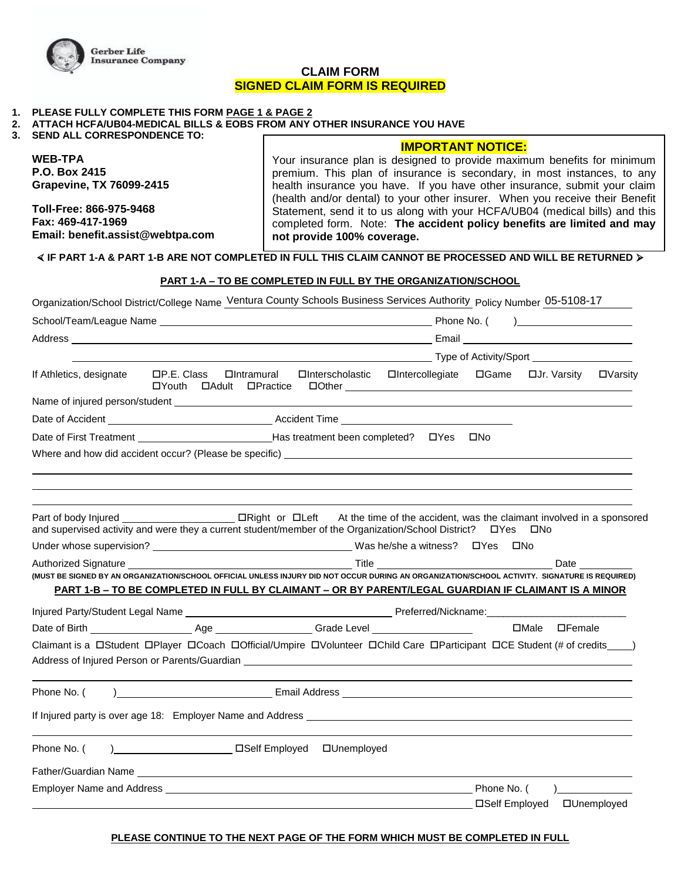

# **CLAIM FORM SIGNED CLAIM FORM IS REQUIRED**

#### **1. PLEASE FULLY COMPLETE THIS FORM PAGE 1 & PAGE 2**

| 2.    ATTACH HCFA/UB04-MEDICAL BILLS & EOBS FROM ANY OTHER INSURANCE YOU HAVE |  |  |  |
|-------------------------------------------------------------------------------|--|--|--|
|                                                                               |  |  |  |

**3. SEND ALL CORRESPONDENCE TO:**

**WEB-TPA P.O. Box 2415 Grapevine, TX 76099-2415** 

**Toll-Free: 866-975-9468 Fax: 469-417-1969 Email: benefit.assist@webtpa.com** 

# **IMPORTANT NOTICE:**

Your insurance plan is designed to provide maximum benefits for minimum premium. This plan of insurance is secondary, in most instances, to any health insurance you have. If you have other insurance, submit your claim (health and/or dental) to your other insurer. When you receive their Benefit Statement, send it to us along with your HCFA/UB04 (medical bills) and this completed form. Note: **The accident policy benefits are limited and may not provide 100% coverage.**

# **coverage. IF PART 1-A & PART 1-B ARE NOT COMPLETED IN FULL THIS CLAIM CANNOT BE PROCESSED AND WILL BE RETURNED**

#### **PART 1-A – TO BE COMPLETED IN FULL BY THE ORGANIZATION/SCHOOL**

| Organization/School District/College Name Ventura County Schools Business Services Authority Policy Number 05-5108-17                                                                                                                                   |                                                                 |  |                                                                               |  |  |                                |  |
|---------------------------------------------------------------------------------------------------------------------------------------------------------------------------------------------------------------------------------------------------------|-----------------------------------------------------------------|--|-------------------------------------------------------------------------------|--|--|--------------------------------|--|
|                                                                                                                                                                                                                                                         |                                                                 |  |                                                                               |  |  |                                |  |
|                                                                                                                                                                                                                                                         |                                                                 |  |                                                                               |  |  |                                |  |
|                                                                                                                                                                                                                                                         |                                                                 |  |                                                                               |  |  |                                |  |
| If Athletics, designate                                                                                                                                                                                                                                 | □P.E. Class □Intramural □Interscholastic □Intercollegiate □Game |  |                                                                               |  |  | ロJr. Varsity ロVarsity          |  |
|                                                                                                                                                                                                                                                         |                                                                 |  |                                                                               |  |  |                                |  |
|                                                                                                                                                                                                                                                         |                                                                 |  |                                                                               |  |  |                                |  |
| Date of First Treatment _______________________________Has treatment been completed? ___ ___________                                                                                                                                                    |                                                                 |  |                                                                               |  |  |                                |  |
|                                                                                                                                                                                                                                                         |                                                                 |  |                                                                               |  |  |                                |  |
|                                                                                                                                                                                                                                                         |                                                                 |  |                                                                               |  |  |                                |  |
|                                                                                                                                                                                                                                                         |                                                                 |  |                                                                               |  |  |                                |  |
|                                                                                                                                                                                                                                                         |                                                                 |  |                                                                               |  |  |                                |  |
| Part of body Injured Sample of The DRight or DLeft At the time of the accident, was the claimant involved in a sponsored<br>and supervised activity and were they a current student/member of the Organization/School District?<br>$\Box$ Yes $\Box$ No |                                                                 |  |                                                                               |  |  |                                |  |
|                                                                                                                                                                                                                                                         |                                                                 |  |                                                                               |  |  |                                |  |
|                                                                                                                                                                                                                                                         |                                                                 |  | Authorized Signature <b>Example 2018</b> 2019 12:30 Title<br><b>Date Date</b> |  |  |                                |  |
| (MUST BE SIGNED BY AN ORGANIZATION/SCHOOL OFFICIAL UNLESS INJURY DID NOT OCCUR DURING AN ORGANIZATION/SCHOOL ACTIVITY. SIGNATURE IS REQUIRED)                                                                                                           |                                                                 |  |                                                                               |  |  |                                |  |
| PART 1-B - TO BE COMPLETED IN FULL BY CLAIMANT - OR BY PARENT/LEGAL GUARDIAN IF CLAIMANT IS A MINOR                                                                                                                                                     |                                                                 |  |                                                                               |  |  |                                |  |
|                                                                                                                                                                                                                                                         |                                                                 |  |                                                                               |  |  |                                |  |
|                                                                                                                                                                                                                                                         |                                                                 |  |                                                                               |  |  |                                |  |
|                                                                                                                                                                                                                                                         |                                                                 |  |                                                                               |  |  |                                |  |
| Claimant is a □Student □Player □Coach □Official/Umpire □Volunteer □Child Care □Participant □CE Student (# of credits___)                                                                                                                                |                                                                 |  |                                                                               |  |  |                                |  |
|                                                                                                                                                                                                                                                         |                                                                 |  |                                                                               |  |  |                                |  |
|                                                                                                                                                                                                                                                         |                                                                 |  |                                                                               |  |  |                                |  |
| Phone No. (                                                                                                                                                                                                                                             |                                                                 |  |                                                                               |  |  |                                |  |
| If Injured party is over age 18: Employer Name and Address Lease Communication of the Communication of the Communication of the Communication of the Communication of the Communication of the Communication of the Communicat                          |                                                                 |  |                                                                               |  |  |                                |  |
|                                                                                                                                                                                                                                                         |                                                                 |  |                                                                               |  |  |                                |  |
| Phone No. (                                                                                                                                                                                                                                             |                                                                 |  |                                                                               |  |  |                                |  |
|                                                                                                                                                                                                                                                         |                                                                 |  |                                                                               |  |  |                                |  |
|                                                                                                                                                                                                                                                         |                                                                 |  |                                                                               |  |  | ) and the set of $\mathcal{L}$ |  |

#### **PLEASE CONTINUE TO THE NEXT PAGE OF THE FORM WHICH MUST BE COMPLETED IN FULL**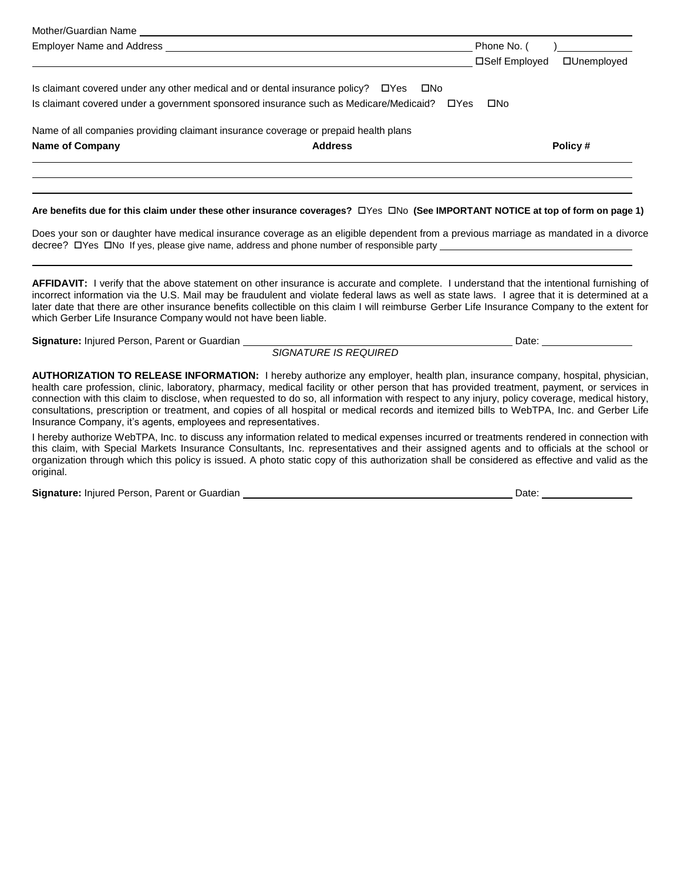| Mother/Guardian Name                                                                |                                                                                               |                                      |
|-------------------------------------------------------------------------------------|-----------------------------------------------------------------------------------------------|--------------------------------------|
| Employer Name and Address                                                           |                                                                                               | Phone No. (                          |
|                                                                                     |                                                                                               | □Self Employed<br><b>OUnemployed</b> |
| Is claimant covered under any other medical and or dental insurance policy?<br>UYes | □No                                                                                           |                                      |
|                                                                                     | Is claimant covered under a government sponsored insurance such as Medicare/Medicaid?<br>UYes | □No                                  |
| Name of all companies providing claimant insurance coverage or prepaid health plans |                                                                                               |                                      |
| <b>Name of Company</b>                                                              | <b>Address</b>                                                                                | Policy#                              |

#### Are benefits due for this claim under these other insurance coverages?  $\Box$ Yes  $\Box$ No (See IMPORTANT NOTICE at top of form on page 1)

Does your son or daughter have medical insurance coverage as an eligible dependent from a previous marriage as mandated in a divorce decree?  $\Box$  Yes  $\Box$  No If yes, please give name, address and phone number of responsible party

**AFFIDAVIT:** I verify that the above statement on other insurance is accurate and complete. I understand that the intentional furnishing of incorrect information via the U.S. Mail may be fraudulent and violate federal laws as well as state laws. I agree that it is determined at a later date that there are other insurance benefits collectible on this claim I will reimburse Gerber Life Insurance Company to the extent for which Gerber Life Insurance Company would not have been liable.

Signature: Injured Person, Parent or Guardian **Date: Signature: Injured Person, Parent Occident Control of Control of American Date: <u>Date: Control of American Person</u>, Parent Occident Control of American Date: <b>Date:** D

l

*SIGNATURE IS REQUIRED* 

**AUTHORIZATION TO RELEASE INFORMATION:** I hereby authorize any employer, health plan, insurance company, hospital, physician, health care profession, clinic, laboratory, pharmacy, medical facility or other person that has provided treatment, payment, or services in connection with this claim to disclose, when requested to do so, all information with respect to any injury, policy coverage, medical history, consultations, prescription or treatment, and copies of all hospital or medical records and itemized bills to WebTPA, Inc. and Gerber Life Insurance Company, it's agents, employees and representatives.

I hereby authorize WebTPA, Inc. to discuss any information related to medical expenses incurred or treatments rendered in connection with this claim, with Special Markets Insurance Consultants, Inc. representatives and their assigned agents and to officials at the school or organization through which this policy is issued. A photo static copy of this authorization shall be considered as effective and valid as the original.

**Signature:** Injured Person, Parent or Guardian Date: **Date:** Date: Date: Date: Date: Date: Date: Date: Date: Date: Date: Date: Date: Date: Date: Date: Date: Date: Date: Date: Date: Date: Date: Date: Date: Date: Date: Date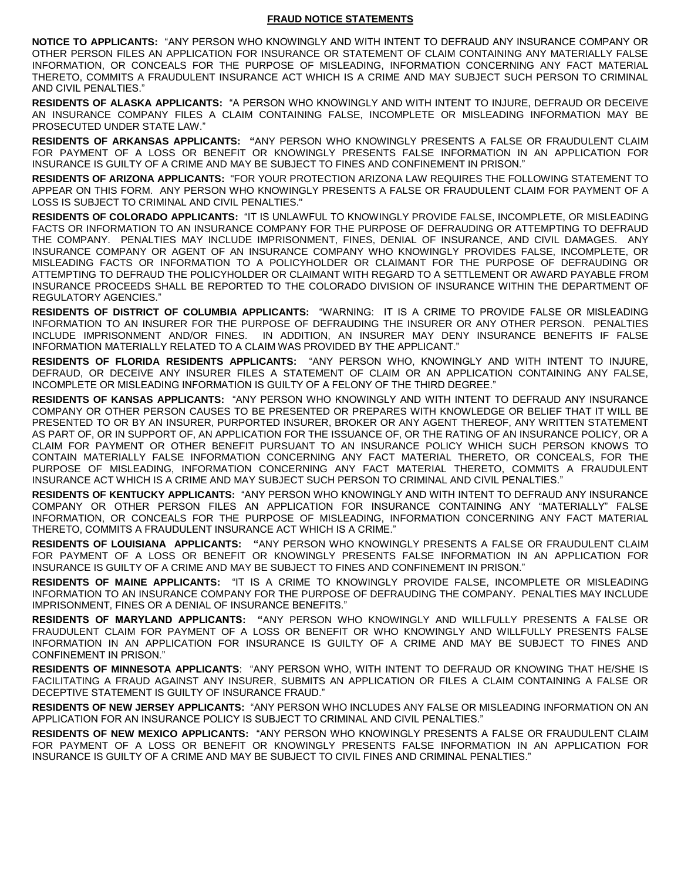#### **FRAUD NOTICE STATEMENTS**

**NOTICE TO APPLICANTS:** "ANY PERSON WHO KNOWINGLY AND WITH INTENT TO DEFRAUD ANY INSURANCE COMPANY OR OTHER PERSON FILES AN APPLICATION FOR INSURANCE OR STATEMENT OF CLAIM CONTAINING ANY MATERIALLY FALSE INFORMATION, OR CONCEALS FOR THE PURPOSE OF MISLEADING, INFORMATION CONCERNING ANY FACT MATERIAL THERETO, COMMITS A FRAUDULENT INSURANCE ACT WHICH IS A CRIME AND MAY SUBJECT SUCH PERSON TO CRIMINAL AND CIVIL PENALTIES."

**RESIDENTS OF ALASKA APPLICANTS:** "A PERSON WHO KNOWINGLY AND WITH INTENT TO INJURE, DEFRAUD OR DECEIVE AN INSURANCE COMPANY FILES A CLAIM CONTAINING FALSE, INCOMPLETE OR MISLEADING INFORMATION MAY BE PROSECUTED UNDER STATE LAW."

**RESIDENTS OF ARKANSAS APPLICANTS: "**ANY PERSON WHO KNOWINGLY PRESENTS A FALSE OR FRAUDULENT CLAIM FOR PAYMENT OF A LOSS OR BENEFIT OR KNOWINGLY PRESENTS FALSE INFORMATION IN AN APPLICATION FOR INSURANCE IS GUILTY OF A CRIME AND MAY BE SUBJECT TO FINES AND CONFINEMENT IN PRISON."

**RESIDENTS OF ARIZONA APPLICANTS:** "FOR YOUR PROTECTION ARIZONA LAW REQUIRES THE FOLLOWING STATEMENT TO APPEAR ON THIS FORM. ANY PERSON WHO KNOWINGLY PRESENTS A FALSE OR FRAUDULENT CLAIM FOR PAYMENT OF A LOSS IS SUBJECT TO CRIMINAL AND CIVIL PENALTIES."

**RESIDENTS OF COLORADO APPLICANTS:** "IT IS UNLAWFUL TO KNOWINGLY PROVIDE FALSE, INCOMPLETE, OR MISLEADING FACTS OR INFORMATION TO AN INSURANCE COMPANY FOR THE PURPOSE OF DEFRAUDING OR ATTEMPTING TO DEFRAUD THE COMPANY. PENALTIES MAY INCLUDE IMPRISONMENT, FINES, DENIAL OF INSURANCE, AND CIVIL DAMAGES. ANY INSURANCE COMPANY OR AGENT OF AN INSURANCE COMPANY WHO KNOWINGLY PROVIDES FALSE, INCOMPLETE, OR MISLEADING FACTS OR INFORMATION TO A POLICYHOLDER OR CLAIMANT FOR THE PURPOSE OF DEFRAUDING OR ATTEMPTING TO DEFRAUD THE POLICYHOLDER OR CLAIMANT WITH REGARD TO A SETTLEMENT OR AWARD PAYABLE FROM INSURANCE PROCEEDS SHALL BE REPORTED TO THE COLORADO DIVISION OF INSURANCE WITHIN THE DEPARTMENT OF REGULATORY AGENCIES."

**RESIDENTS OF DISTRICT OF COLUMBIA APPLICANTS:** "WARNING: IT IS A CRIME TO PROVIDE FALSE OR MISLEADING INFORMATION TO AN INSURER FOR THE PURPOSE OF DEFRAUDING THE INSURER OR ANY OTHER PERSON. PENALTIES INCLUDE IMPRISONMENT AND/OR FINES. IN ADDITION, AN INSURER MAY DENY INSURANCE BENEFITS IF FALSE INFORMATION MATERIALLY RELATED TO A CLAIM WAS PROVIDED BY THE APPLICANT."

**RESIDENTS OF FLORIDA RESIDENTS APPLICANTS:** "ANY PERSON WHO, KNOWINGLY AND WITH INTENT TO INJURE, DEFRAUD, OR DECEIVE ANY INSURER FILES A STATEMENT OF CLAIM OR AN APPLICATION CONTAINING ANY FALSE, INCOMPLETE OR MISLEADING INFORMATION IS GUILTY OF A FELONY OF THE THIRD DEGREE."

**RESIDENTS OF KANSAS APPLICANTS:** "ANY PERSON WHO KNOWINGLY AND WITH INTENT TO DEFRAUD ANY INSURANCE COMPANY OR OTHER PERSON CAUSES TO BE PRESENTED OR PREPARES WITH KNOWLEDGE OR BELIEF THAT IT WILL BE PRESENTED TO OR BY AN INSURER, PURPORTED INSURER, BROKER OR ANY AGENT THEREOF, ANY WRITTEN STATEMENT AS PART OF, OR IN SUPPORT OF, AN APPLICATION FOR THE ISSUANCE OF, OR THE RATING OF AN INSURANCE POLICY, OR A CLAIM FOR PAYMENT OR OTHER BENEFIT PURSUANT TO AN INSURANCE POLICY WHICH SUCH PERSON KNOWS TO CONTAIN MATERIALLY FALSE INFORMATION CONCERNING ANY FACT MATERIAL THERETO, OR CONCEALS, FOR THE PURPOSE OF MISLEADING, INFORMATION CONCERNING ANY FACT MATERIAL THERETO, COMMITS A FRAUDULENT INSURANCE ACT WHICH IS A CRIME AND MAY SUBJECT SUCH PERSON TO CRIMINAL AND CIVIL PENALTIES."

**RESIDENTS OF KENTUCKY APPLICANTS:** "ANY PERSON WHO KNOWINGLY AND WITH INTENT TO DEFRAUD ANY INSURANCE COMPANY OR OTHER PERSON FILES AN APPLICATION FOR INSURANCE CONTAINING ANY "MATERIALLY" FALSE INFORMATION, OR CONCEALS FOR THE PURPOSE OF MISLEADING, INFORMATION CONCERNING ANY FACT MATERIAL THERETO, COMMITS A FRAUDULENT INSURANCE ACT WHICH IS A CRIME."

**RESIDENTS OF LOUISIANA APPLICANTS: "**ANY PERSON WHO KNOWINGLY PRESENTS A FALSE OR FRAUDULENT CLAIM FOR PAYMENT OF A LOSS OR BENEFIT OR KNOWINGLY PRESENTS FALSE INFORMATION IN AN APPLICATION FOR INSURANCE IS GUILTY OF A CRIME AND MAY BE SUBJECT TO FINES AND CONFINEMENT IN PRISON."

**RESIDENTS OF MAINE APPLICANTS:** "IT IS A CRIME TO KNOWINGLY PROVIDE FALSE, INCOMPLETE OR MISLEADING INFORMATION TO AN INSURANCE COMPANY FOR THE PURPOSE OF DEFRAUDING THE COMPANY. PENALTIES MAY INCLUDE IMPRISONMENT, FINES OR A DENIAL OF INSURANCE BENEFITS."

**RESIDENTS OF MARYLAND APPLICANTS: "**ANY PERSON WHO KNOWINGLY AND WILLFULLY PRESENTS A FALSE OR FRAUDULENT CLAIM FOR PAYMENT OF A LOSS OR BENEFIT OR WHO KNOWINGLY AND WILLFULLY PRESENTS FALSE INFORMATION IN AN APPLICATION FOR INSURANCE IS GUILTY OF A CRIME AND MAY BE SUBJECT TO FINES AND CONFINEMENT IN PRISON."

**RESIDENTS OF MINNESOTA APPLICANTS**: "ANY PERSON WHO, WITH INTENT TO DEFRAUD OR KNOWING THAT HE/SHE IS FACILITATING A FRAUD AGAINST ANY INSURER, SUBMITS AN APPLICATION OR FILES A CLAIM CONTAINING A FALSE OR DECEPTIVE STATEMENT IS GUILTY OF INSURANCE FRAUD."

**RESIDENTS OF NEW JERSEY APPLICANTS:** "ANY PERSON WHO INCLUDES ANY FALSE OR MISLEADING INFORMATION ON AN APPLICATION FOR AN INSURANCE POLICY IS SUBJECT TO CRIMINAL AND CIVIL PENALTIES."

**RESIDENTS OF NEW MEXICO APPLICANTS:** "ANY PERSON WHO KNOWINGLY PRESENTS A FALSE OR FRAUDULENT CLAIM FOR PAYMENT OF A LOSS OR BENEFIT OR KNOWINGLY PRESENTS FALSE INFORMATION IN AN APPLICATION FOR INSURANCE IS GUILTY OF A CRIME AND MAY BE SUBJECT TO CIVIL FINES AND CRIMINAL PENALTIES."